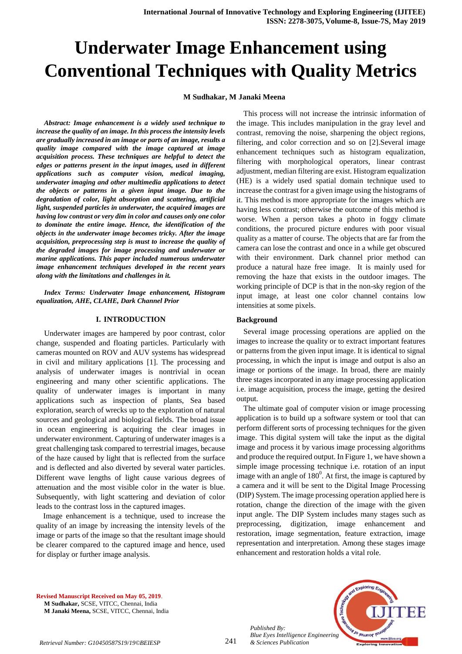# **Underwater Image Enhancement using Conventional Techniques with Quality Metrics**

# **M Sudhakar, M Janaki Meena**

*Abstract: Image enhancement is a widely used technique to increase the quality of an image. In this process the intensity levels are gradually increased in an image or parts of an image, results a quality image compared with the image captured at image acquisition process. These techniques are helpful to detect the edges or patterns present in the input images, used in different applications such as computer vision, medical imaging, underwater imaging and other multimedia applications to detect the objects or patterns in a given input image. Due to the degradation of color, light absorption and scattering, artificial light, suspended particles in underwater, the acquired images are having low contrast or very dim in color and causes only one color to dominate the entire image. Hence, the identification of the objects in the underwater image becomes tricky. After the image acquisition, preprocessing step is must to increase the quality of the degraded images for image processing and underwater or marine applications. This paper included numerous underwater image enhancement techniques developed in the recent years along with the limitations and challenges in it.*

*Index Terms: Underwater Image enhancement, Histogram equalization, AHE, CLAHE, Dark Channel Prior*

# **I. INTRODUCTION**

 Underwater images are hampered by poor contrast, color change, suspended and floating particles. Particularly with cameras mounted on ROV and AUV systems has widespread in civil and military applications [1]. The processing and analysis of underwater images is nontrivial in ocean engineering and many other scientific applications. The quality of underwater images is important in many applications such as inspection of plants, Sea based exploration, search of wrecks up to the exploration of natural sources and geological and biological fields. The broad issue in ocean engineering is acquiring the clear images in underwater environment. Capturing of underwater images is a great challenging task compared to terrestrial images, because of the haze caused by light that is reflected from the surface and is deflected and also diverted by several water particles. Different wave lengths of light cause various degrees of attenuation and the most visible color in the water is blue. Subsequently, with light scattering and deviation of color leads to the contrast loss in the captured images.

Image enhancement is a technique, used to increase the quality of an image by increasing the intensity levels of the image or parts of the image so that the resultant image should be clearer compared to the captured image and hence, used for display or further image analysis.

This process will not increase the intrinsic information of the image. This includes manipulation in the gray level and contrast, removing the noise, sharpening the object regions, filtering, and color correction and so on [2].Several image enhancement techniques such as histogram equalization, filtering with morphological operators, linear contrast adjustment, median filtering are exist. Histogram equalization (HE) is a widely used spatial domain technique used to increase the contrast for a given image using the histograms of it. This method is more appropriate for the images which are having less contrast; otherwise the outcome of this method is worse. When a person takes a photo in foggy climate conditions, the procured picture endures with poor visual quality as a matter of course. The objects that are far from the camera can lose the contrast and once in a while get obscured with their environment. Dark channel prior method can produce a natural haze free image. It is mainly used for removing the haze that exists in the outdoor images. The working principle of DCP is that in the non-sky region of the input image, at least one color channel contains low intensities at some pixels.

## **Background**

Several image processing operations are applied on the images to increase the quality or to extract important features or patterns from the given input image. It is identical to signal processing, in which the input is image and output is also an image or portions of the image. In broad, there are mainly three stages incorporated in any image processing application i.e. image acquisition, process the image, getting the desired output.

The ultimate goal of computer vision or image processing application is to build up a software system or tool that can perform different sorts of processing techniques for the given image. This digital system will take the input as the digital image and process it by various image processing algorithms and produce the required output. In Figure 1, we have shown a simple image processing technique i.e. rotation of an input image with an angle of  $180^{\circ}$ . At first, the image is captured by a camera and it will be sent to the Digital Image Processing (DIP) System. The image processing operation applied here is rotation, change the direction of the image with the given input angle. The DIP System includes many stages such as preprocessing, digitization, image enhancement and restoration, image segmentation, feature extraction, image representation and interpretation. Among these stages image enhancement and restoration holds a vital role.

**Revised Manuscript Received on May 05, 2019**. **M Sudhakar,** SCSE, VITCC, Chennai, India **M Janaki Meena,** SCSE, VITCC, Chennai, India



*Retrieval Number: G10450587S19/19©BEIESP & Sciences Publication* 

*Published By:*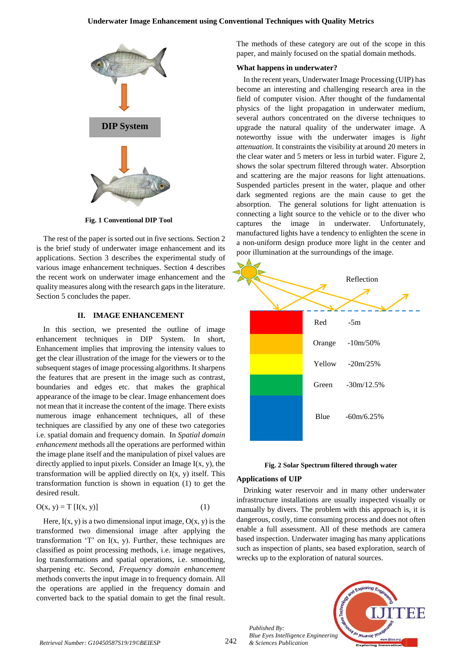# **Underwater Image Enhancement using Conventional Techniques with Quality Metrics**



**Fig. 1 Conventional DIP Tool**

The rest of the paper is sorted out in five sections. Section 2 is the brief study of underwater image enhancement and its applications. Section 3 describes the experimental study of various image enhancement techniques. Section 4 describes the recent work on underwater image enhancement and the quality measures along with the research gaps in the literature. Section 5 concludes the paper.

## **II. IMAGE ENHANCEMENT**

In this section, we presented the outline of image enhancement techniques in DIP System. In short, Enhancement implies that improving the intensity values to get the clear illustration of the image for the viewers or to the subsequent stages of image processing algorithms. It sharpens the features that are present in the image such as contrast, boundaries and edges etc. that makes the graphical appearance of the image to be clear. Image enhancement does not mean that it increase the content of the image. There exists numerous image enhancement techniques, all of these techniques are classified by any one of these two categories i.e. spatial domain and frequency domain. In *Spatial domain enhancement* methods all the operations are performed within the image plane itself and the manipulation of pixel values are directly applied to input pixels. Consider an Image I(x, y), the transformation will be applied directly on  $I(x, y)$  itself. This transformation function is shown in equation (1) to get the desired result.

$$
O(x, y) = T [I(x, y)] \tag{1}
$$

Here,  $I(x, y)$  is a two dimensional input image,  $O(x, y)$  is the transformed two dimensional image after applying the transformation 'T' on  $I(x, y)$ . Further, these techniques are classified as point processing methods, i.e. image negatives, log transformations and spatial operations, i.e. smoothing, sharpening etc. Second, *Frequency domain enhancement* methods converts the input image in to frequency domain. All the operations are applied in the frequency domain and converted back to the spatial domain to get the final result. The methods of these category are out of the scope in this paper, and mainly focused on the spatial domain methods.

# **What happens in underwater?**

In the recent years, Underwater Image Processing (UIP) has become an interesting and challenging research area in the field of computer vision. After thought of the fundamental physics of the light propagation in underwater medium, several authors concentrated on the diverse techniques to upgrade the natural quality of the underwater image. A noteworthy issue with the underwater images is *light attenuation*. It constraints the visibility at around 20 meters in the clear water and 5 meters or less in turbid water. Figure 2, shows the solar spectrum filtered through water. Absorption and scattering are the major reasons for light attenuations. Suspended particles present in the water, plaque and other dark segmented regions are the main cause to get the absorption. The general solutions for light attenuation is connecting a light source to the vehicle or to the diver who captures the image in underwater. Unfortunately, manufactured lights have a tendency to enlighten the scene in a non-uniform design produce more light in the center and poor illumination at the surroundings of the image.





## **Applications of UIP**

*Published By:*

Drinking water reservoir and in many other underwater infrastructure installations are usually inspected visually or manually by divers. The problem with this approach is, it is dangerous, costly, time consuming process and does not often enable a full assessment. All of these methods are camera based inspection. Underwater imaging has many applications such as inspection of plants, sea based exploration, search of wrecks up to the exploration of natural sources.

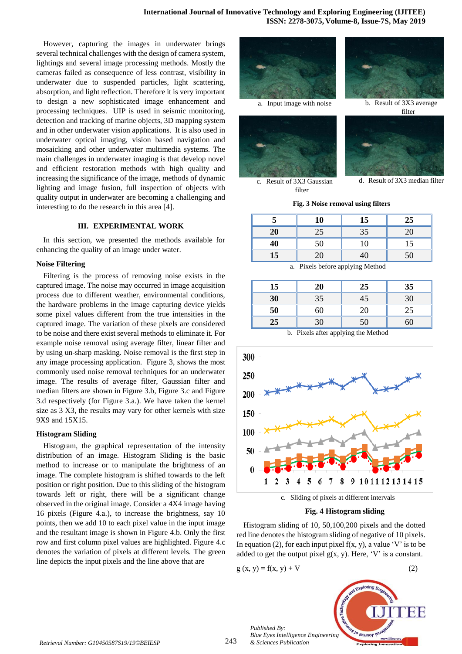However, capturing the images in underwater brings several technical challenges with the design of camera system, lightings and several image processing methods. Mostly the cameras failed as consequence of less contrast, visibility in underwater due to suspended particles, light scattering, absorption, and light reflection. Therefore it is very important to design a new sophisticated image enhancement and processing techniques. UIP is used in seismic monitoring, detection and tracking of marine objects, 3D mapping system and in other underwater vision applications. It is also used in underwater optical imaging, vision based navigation and mosaicking and other underwater multimedia systems. The main challenges in underwater imaging is that develop novel and efficient restoration methods with high quality and increasing the significance of the image, methods of dynamic lighting and image fusion, full inspection of objects with quality output in underwater are becoming a challenging and interesting to do the research in this area [4].

## **III. EXPERIMENTAL WORK**

In this section, we presented the methods available for enhancing the quality of an image under water.

## **Noise Filtering**

Filtering is the process of removing noise exists in the captured image. The noise may occurred in image acquisition process due to different weather, environmental conditions, the hardware problems in the image capturing device yields some pixel values different from the true intensities in the captured image. The variation of these pixels are considered to be noise and there exist several methods to eliminate it. For example noise removal using average filter, linear filter and by using un-sharp masking. Noise removal is the first step in any image processing application. Figure 3, shows the most commonly used noise removal techniques for an underwater image. The results of average filter, Gaussian filter and median filters are shown in Figure 3.b, Figure 3.c and Figure 3.d respectively (for Figure 3.a.). We have taken the kernel size as 3 X3, the results may vary for other kernels with size 9X9 and 15X15.

## **Histogram Sliding**

Histogram, the graphical representation of the intensity distribution of an image. Histogram Sliding is the basic method to increase or to manipulate the brightness of an image. The complete histogram is shifted towards to the left position or right position. Due to this sliding of the histogram towards left or right, there will be a significant change observed in the original image. Consider a 4X4 image having 16 pixels (Figure 4.a.), to increase the brightness, say 10 points, then we add 10 to each pixel value in the input image and the resultant image is shown in Figure 4.b. Only the first row and first column pixel values are highlighted. Figure 4.c denotes the variation of pixels at different levels. The green line depicts the input pixels and the line above that are







a. Input image with noise b. Result of 3X3 average filter



d. Result of 3X3 median filter

c. Result of 3X3 Gaussian filter

**Fig. 3 Noise removal using filters**

|                  | 10 | 15 | 25 |
|------------------|----|----|----|
| 20               | 25 | 35 | 20 |
| 40               | 50 | 10 | 15 |
| 15 <sup>15</sup> | 20 |    | 50 |

a. Pixels before applying Method

| 15 | 20 | 25 | 35 |
|----|----|----|----|
| 30 | 35 | 45 | 30 |
| 50 | 60 | 20 | 25 |
| 25 | 30 | 50 | 60 |

b. Pixels after applying the Method



**Fig. 4 Histogram sliding**

Histogram sliding of 10, 50,100,200 pixels and the dotted red line denotes the histogram sliding of negative of 10 pixels. In equation (2), for each input pixel  $f(x, y)$ , a value 'V' is to be added to get the output pixel  $g(x, y)$ . Here, 'V' is a constant.

$$
g(x, y) = f(x, y) + V
$$
 (2)



243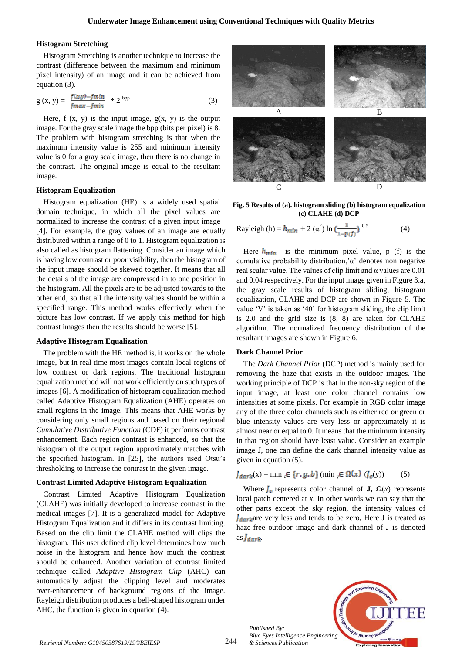# **Histogram Stretching**

Histogram Stretching is another technique to increase the contrast (difference between the maximum and minimum pixel intensity) of an image and it can be achieved from equation (3).

$$
g(x, y) = \frac{f(x, y) - fmin}{fmax - fmin} \quad * 2^{bpp} \tag{3}
$$

Here,  $f(x, y)$  is the input image,  $g(x, y)$  is the output image. For the gray scale image the bpp (bits per pixel) is 8. The problem with histogram stretching is that when the maximum intensity value is 255 and minimum intensity value is 0 for a gray scale image, then there is no change in the contrast. The original image is equal to the resultant image.

# **Histogram Equalization**

Histogram equalization (HE) is a widely used spatial domain technique, in which all the pixel values are normalized to increase the contrast of a given input image [4]. For example, the gray values of an image are equally distributed within a range of 0 to 1. Histogram equalization is also called as histogram flattening. Consider an image which is having low contrast or poor visibility, then the histogram of the input image should be skewed together. It means that all the details of the image are compressed in to one position in the histogram. All the pixels are to be adjusted towards to the other end, so that all the intensity values should be within a specified range. This method works effectively when the picture has low contrast. If we apply this method for high contrast images then the results should be worse [5].

#### **Adaptive Histogram Equalization**

The problem with the HE method is, it works on the whole image, but in real time most images contain local regions of low contrast or dark regions. The traditional histogram equalization method will not work efficiently on such types of images [6]. A modification of histogram equalization method called Adaptive Histogram Equalization (AHE) operates on small regions in the image. This means that AHE works by considering only small regions and based on their regional *Cumulative Distributive Function* (CDF) it performs contrast enhancement. Each region contrast is enhanced, so that the histogram of the output region approximately matches with the specified histogram. In [25], the authors used Otsu's thresholding to increase the contrast in the given image.

## **Contrast Limited Adaptive Histogram Equalization**

Contrast Limited Adaptive Histogram Equalization (CLAHE) was initially developed to increase contrast in the medical images [7]. It is a generalized model for Adaptive Histogram Equalization and it differs in its contrast limiting. Based on the clip limit the CLAHE method will clips the histogram. This user defined clip level determines how much noise in the histogram and hence how much the contrast should be enhanced. Another variation of contrast limited technique called *Adaptive Histogram Clip* (AHC) can automatically adjust the clipping level and moderates over-enhancement of background regions of the image. Rayleigh distribution produces a bell-shaped histogram under AHC, the function is given in equation (4).



**Fig. 5 Results of (a). histogram sliding (b) histogram equalization (c) CLAHE (d) DCP**

Rayleigh (h) = 
$$
h_{min}
$$
 + 2 ( $\alpha^2$ ) ln ( $\frac{1}{1 - p(f)}$ )<sup>0.5</sup> (4)

Here  $h_{\text{min}}$  is the minimum pixel value, p (f) is the cumulative probability distribution,'α' denotes non negative real scalar value. The values of clip limit and α values are 0.01 and 0.04 respectively. For the input image given in Figure 3.a, the gray scale results of histogram sliding, histogram equalization, CLAHE and DCP are shown in Figure 5. The value 'V' is taken as '40' for histogram sliding, the clip limit is 2.0 and the grid size is (8, 8) are taken for CLAHE algorithm. The normalized frequency distribution of the resultant images are shown in Figure 6.

# **Dark Channel Prior**

The *Dark Channel Prior* (DCP) method is mainly used for removing the haze that exists in the outdoor images. The working principle of DCP is that in the non-sky region of the input image, at least one color channel contains low intensities at some pixels. For example in RGB color image any of the three color channels such as either red or green or blue intensity values are very less or approximately it is almost near or equal to 0. It means that the minimum intensity in that region should have least value. Consider an example image J, one can define the dark channel intensity value as given in equation (5).

$$
J_{dark}(x) = \min_{c} \in \{r, g, b\} (\min_{y} \in \Omega(x) (J_c(y))
$$
 (5)

Where  $\int_c$  represents color channel of **J**,  $\Omega(x)$  represents local patch centered at *x*. In other words we can say that the other parts except the sky region, the intensity values of  $\int_{\text{dark}}$  are very less and tends to be zero, Here J is treated as haze-free outdoor image and dark channel of J is denoted  $as *J*_{dark}$ 



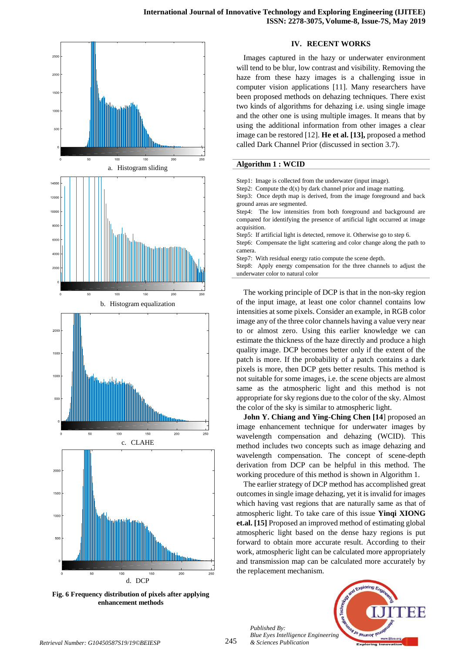

**Fig. 6 Frequency distribution of pixels after applying enhancement methods**

# **IV. RECENT WORKS**

Images captured in the hazy or underwater environment will tend to be blur, low contrast and visibility. Removing the haze from these hazy images is a challenging issue in computer vision applications [11]. Many researchers have been proposed methods on dehazing techniques. There exist two kinds of algorithms for dehazing i.e. using single image and the other one is using multiple images. It means that by using the additional information from other images a clear image can be restored [12]. **He et al. [13],** proposed a method called Dark Channel Prior (discussed in section 3.7).

# **Algorithm 1 : WCID**

| Step1: Image is collected from the underwater (input image).                |
|-----------------------------------------------------------------------------|
| Step2: Compute the $d(x)$ by dark channel prior and image matting.          |
| Step3: Once depth map is derived, from the image foreground and back        |
| ground areas are segmented.                                                 |
| Step4: The low intensities from both foreground and background are          |
| compared for identifying the presence of artificial light occurred at image |
| acquisition.                                                                |
| Step5: If artificial light is detected, remove it. Otherwise go to step 6.  |
| Step6: Compensate the light scattering and color change along the path to   |
| camera.                                                                     |
| Step7: With residual energy ratio compute the scene depth.                  |
| Step8: Apply energy compensation for the three channels to adjust the       |
| underwater color to natural color                                           |

The working principle of DCP is that in the non-sky region of the input image, at least one color channel contains low intensities at some pixels. Consider an example, in RGB color image any of the three color channels having a value very near to or almost zero. Using this earlier knowledge we can estimate the thickness of the haze directly and produce a high quality image. DCP becomes better only if the extent of the patch is more. If the probability of a patch contains a dark pixels is more, then DCP gets better results. This method is not suitable for some images, i.e. the scene objects are almost same as the atmospheric light and this method is not appropriate for sky regions due to the color of the sky. Almost the color of the sky is similar to atmospheric light.

**John Y. Chiang and Ying-Ching Chen [14**] proposed an image enhancement technique for underwater images by wavelength compensation and dehazing (WCID). This method includes two concepts such as image dehazing and wavelength compensation. The concept of scene-depth derivation from DCP can be helpful in this method. The working procedure of this method is shown in Algorithm 1.

The earlier strategy of DCP method has accomplished great outcomes in single image dehazing, yet it is invalid for images which having vast regions that are naturally same as that of atmospheric light. To take care of this issue **Yinqi XIONG et.al. [15]** Proposed an improved method of estimating global atmospheric light based on the dense hazy regions is put forward to obtain more accurate result. According to their work, atmospheric light can be calculated more appropriately and transmission map can be calculated more accurately by the replacement mechanism.

*Published By: Blue Eyes Intelligence Engineering* 

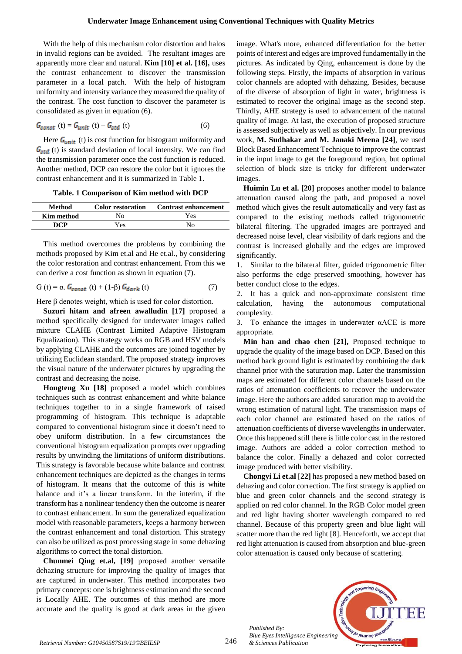With the help of this mechanism color distortion and halos in invalid regions can be avoided. The resultant images are apparently more clear and natural. **Kim [10] et al. [16],** uses the contrast enhancement to discover the transmission parameter in a local patch. With the help of histogram uniformity and intensity variance they measured the quality of the contrast. The cost function to discover the parameter is consolidated as given in equation (6).

$$
G_{const}(t) = G_{unit}(t) - G_{std}(t)
$$
 (6)

Here  $G_{unit}$  (t) is cost function for histogram uniformity and  $G_{std}$  (t) is standard deviation of local intensity. We can find the transmission parameter once the cost function is reduced. Another method, DCP can restore the color but it ignores the contrast enhancement and it is summarized in Table 1.

**Table. 1 Comparison of Kim method with DCP**

| Method     | <b>Color restoration</b> | Contrast enhancement |
|------------|--------------------------|----------------------|
| Kim method | No.                      | Yes.                 |
| DCP        | Yes                      | No.                  |

This method overcomes the problems by combining the methods proposed by Kim et.al and He et.al., by considering the color restoration and contrast enhancement. From this we can derive a cost function as shown in equation (7).

$$
G(t) = \alpha. G_{const}(t) + (1-\beta) G_{dark}(t)
$$
 (7)

Here  $\beta$  denotes weight, which is used for color distortion.

**Suzuri hitam and afreen awalludin [17]** proposed a method specifically designed for underwater images called mixture CLAHE (Contrast Limited Adaptive Histogram Equalization). This strategy works on RGB and HSV models by applying CLAHE and the outcomes are joined together by utilizing Euclidean standard. The proposed strategy improves the visual nature of the underwater pictures by upgrading the contrast and decreasing the noise.

**Hongteng Xu [18]** proposed a model which combines techniques such as contrast enhancement and white balance techniques together to in a single framework of raised programming of histogram. This technique is adaptable compared to conventional histogram since it doesn't need to obey uniform distribution. In a few circumstances the conventional histogram equalization prompts over upgrading results by unwinding the limitations of uniform distributions. This strategy is favorable because white balance and contrast enhancement techniques are depicted as the changes in terms of histogram. It means that the outcome of this is white balance and it's a linear transform. In the interim, if the transform has a nonlinear tendency then the outcome is nearer to contrast enhancement. In sum the generalized equalization model with reasonable parameters, keeps a harmony between the contrast enhancement and tonal distortion. This strategy can also be utilized as post processing stage in some dehazing algorithms to correct the tonal distortion.

**Chunmei Qing et.al, [19]** proposed another versatile dehazing structure for improving the quality of images that are captured in underwater. This method incorporates two primary concepts: one is brightness estimation and the second is Locally AHE. The outcomes of this method are more accurate and the quality is good at dark areas in the given image. What's more, enhanced differentiation for the better points of interest and edges are improved fundamentally in the pictures. As indicated by Qing, enhancement is done by the following steps. Firstly, the impacts of absorption in various color channels are adopted with dehazing. Besides, because of the diverse of absorption of light in water, brightness is estimated to recover the original image as the second step. Thirdly, AHE strategy is used to advancement of the natural quality of image. At last, the execution of proposed structure is assessed subjectively as well as objectively. In our previous work, **M. Sudhakar and M. Janaki Meena [24]**, we used Block Based Enhancement Technique to improve the contrast in the input image to get the foreground region, but optimal selection of block size is tricky for different underwater images.

**Huimin Lu et al. [20]** proposes another model to balance attenuation caused along the path, and proposed a novel method which gives the result automatically and very fast as compared to the existing methods called trigonometric bilateral filtering. The upgraded images are portrayed and decreased noise level, clear visibility of dark regions and the contrast is increased globally and the edges are improved significantly.

1. Similar to the bilateral filter, guided trigonometric filter also performs the edge preserved smoothing, however has better conduct close to the edges.

2. It has a quick and non-approximate consistent time calculation, having the autonomous computational complexity.

3. To enhance the images in underwater αACE is more appropriate.

**Min han and chao chen [21],** Proposed technique to upgrade the quality of the image based on DCP. Based on this method back ground light is estimated by combining the dark channel prior with the saturation map. Later the transmission maps are estimated for different color channels based on the ratios of attenuation coefficients to recover the underwater image. Here the authors are added saturation map to avoid the wrong estimation of natural light. The transmission maps of each color channel are estimated based on the ratios of attenuation coefficients of diverse wavelengths in underwater. Once this happened still there is little color cast in the restored image. Authors are added a color correction method to balance the color. Finally a dehazed and color corrected image produced with better visibility.

**Chongyi Li et.al** [**22]** has proposed a new method based on dehazing and color correction. The first strategy is applied on blue and green color channels and the second strategy is applied on red color channel. In the RGB Color model green and red light having shorter wavelength compared to red channel. Because of this property green and blue light will scatter more than the red light [8]. Henceforth, we accept that red light attenuation is caused from absorption and blue-green color attenuation is caused only because of scattering.



*Published By: Blue Eyes Intelligence Engineering*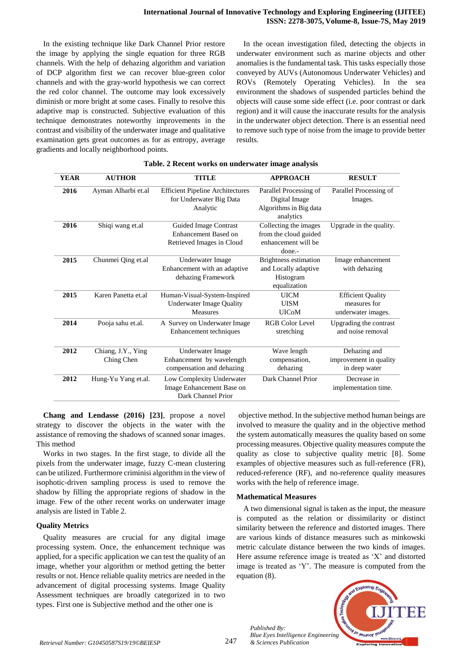In the existing technique like Dark Channel Prior restore the image by applying the single equation for three RGB channels. With the help of dehazing algorithm and variation of DCP algorithm first we can recover blue-green color channels and with the gray-world hypothesis we can correct the red color channel. The outcome may look excessively diminish or more bright at some cases. Finally to resolve this adaptive map is constructed. Subjective evaluation of this technique demonstrates noteworthy improvements in the contrast and visibility of the underwater image and qualitative examination gets great outcomes as for as entropy, average gradients and locally neighborhood points.

In the ocean investigation filed, detecting the objects in underwater environment such as marine objects and other anomalies is the fundamental task. This tasks especially those conveyed by AUVs (Autonomous Underwater Vehicles) and ROVs (Remotely Operating Vehicles). In the sea environment the shadows of suspended particles behind the objects will cause some side effect (i.e. poor contrast or dark region) and it will cause the inaccurate results for the analysis in the underwater object detection. There is an essential need to remove such type of noise from the image to provide better results.

| <b>YEAR</b> | <b>AUTHOR</b>                    | <b>TITLE</b>                                                                       | <b>APPROACH</b>                                                                   | <b>RESULT</b>                                                  |
|-------------|----------------------------------|------------------------------------------------------------------------------------|-----------------------------------------------------------------------------------|----------------------------------------------------------------|
| 2016        | Ayman Alharbi et.al              | <b>Efficient Pipeline Architectures</b><br>for Underwater Big Data<br>Analytic     | Parallel Processing of<br>Digital Image<br>Algorithms in Big data<br>analytics    | Parallel Processing of<br>Images.                              |
| 2016        | Shiqi wang et.al                 | Guided Image Contrast<br>Enhancement Based on<br>Retrieved Images in Cloud         | Collecting the images<br>from the cloud guided<br>enhancement will be<br>done.-   | Upgrade in the quality.                                        |
| 2015        | Chunmei Qing et.al               | Underwater Image<br>Enhancement with an adaptive<br>dehazing Framework             | <b>Brightness estimation</b><br>and Locally adaptive<br>Histogram<br>equalization | Image enhancement<br>with dehazing                             |
| 2015        | Karen Panetta et al              | Human-Visual-System-Inspired<br><b>Underwater Image Quality</b><br><b>Measures</b> | <b>UICM</b><br><b>UISM</b><br><b>UICoM</b>                                        | <b>Efficient Quality</b><br>measures for<br>underwater images. |
| 2014        | Pooja sahu et.al.                | A Survey on Underwater Image<br>Enhancement techniques                             | <b>RGB Color Level</b><br>stretching                                              | Upgrading the contrast<br>and noise removal                    |
| 2012        | Chiang, J.Y., Ying<br>Ching Chen | Underwater Image<br>Enhancement by wavelength<br>compensation and dehazing         | Wave length<br>compensation,<br>dehazing                                          | Dehazing and<br>improvement in quality<br>in deep water        |
| 2012        | Hung-Yu Yang et.al.              | Low Complexity Underwater<br>Image Enhancement Base on<br>Dark Channel Prior       | Dark Channel Prior                                                                | Decrease in<br>implementation time.                            |

# **Table. 2 Recent works on underwater image analysis**

**Chang and Lendasse (2016) [23]**, propose a novel strategy to discover the objects in the water with the assistance of removing the shadows of scanned sonar images. This method

Works in two stages. In the first stage, to divide all the pixels from the underwater image, fuzzy C-mean clustering can be utilized. Furthermore criminisi algorithm in the view of isophotic-driven sampling process is used to remove the shadow by filling the appropriate regions of shadow in the image. Few of the other recent works on underwater image analysis are listed in Table 2.

# **Quality Metrics**

Quality measures are crucial for any digital image processing system. Once, the enhancement technique was applied, for a specific application we can test the quality of an image, whether your algorithm or method getting the better results or not. Hence reliable quality metrics are needed in the advancement of digital processing systems. Image Quality Assessment techniques are broadly categorized in to two types. First one is Subjective method and the other one is

objective method. In the subjective method human beings are involved to measure the quality and in the objective method the system automatically measures the quality based on some processing measures. Objective quality measures compute the quality as close to subjective quality metric [8]. Some examples of objective measures such as full-reference (FR), reduced-reference (RF), and no-reference quality measures works with the help of reference image.

# **Mathematical Measures**

*Published By:*

A two dimensional signal is taken as the input, the measure is computed as the relation or dissimilarity or distinct similarity between the reference and distorted images. There are various kinds of distance measures such as minkowski metric calculate distance between the two kinds of images. Here assume reference image is treated as 'X' and distorted image is treated as 'Y'. The measure is computed from the equation (8).

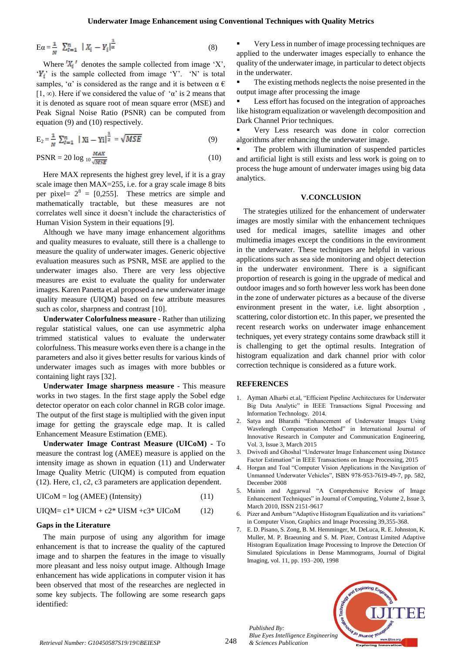$$
E\alpha = \frac{1}{N} \sum_{i=1}^{n} |X_i - Y_i|^{\frac{1}{\alpha}}
$$
 (8)

Where  $'X_i'$  denotes the sample collected from image 'X',  $Y_i$  is the sample collected from image 'Y'. 'N' is total samples, ' $\alpha$ ' is considered as the range and it is between  $\alpha \in \mathcal{C}$ [1,  $\infty$ ). Here if we considered the value of ' $\alpha$ ' is 2 means that it is denoted as square root of mean square error (MSE) and Peak Signal Noise Ratio (PSNR) can be computed from equation (9) and (10) respectively.

$$
E_2 = \frac{1}{N} \sum_{l=1}^{n} |Xi - Y_l|^{\frac{1}{2}} = \sqrt{MSE}
$$
 (9)

$$
PSNR = 20 \log_{10} \frac{MAX}{MSE}
$$
 (10)

Here MAX represents the highest grey level, if it is a gray scale image then MAX=255, i.e. for a gray scale image 8 bits per pixel=  $2^8$  = [0,255]. These metrics are simple and mathematically tractable, but these measures are not correlates well since it doesn't include the characteristics of Human Vision System in their equations [9].

Although we have many image enhancement algorithms and quality measures to evaluate, still there is a challenge to measure the quality of underwater images. Generic objective evaluation measures such as PSNR, MSE are applied to the underwater images also. There are very less objective measures are exist to evaluate the quality for underwater images. Karen Panetta et.al proposed a new underwater image quality measure (UIQM) based on few attribute measures such as color, sharpness and contrast [10].

**Underwater Colorfulness measure** - Rather than utilizing regular statistical values, one can use asymmetric alpha trimmed statistical values to evaluate the underwater colorfulness. This measure works even there is a change in the parameters and also it gives better results for various kinds of underwater images such as images with more bubbles or containing light rays [32].

**Underwater Image sharpness measure** - This measure works in two stages. In the first stage apply the Sobel edge detector operator on each color channel in RGB color image. The output of the first stage is multiplied with the given input image for getting the grayscale edge map. It is called Enhancement Measure Estimation (EME).

**Underwater Image Contrast Measure (UICoM) -** To measure the contrast log (AMEE) measure is applied on the intensity image as shown in equation (11) and Underwater Image Quality Metric (UIQM) is computed from equation (12). Here, c1, c2, c3 parameters are application dependent.

 $UICoM = log (AMEE) (Intensity)$  (11)

$$
UIQM = c1*UICM + c2*UISM + c3*UICoM \qquad (12)
$$

# **Gaps in the Literature**

The main purpose of using any algorithm for image enhancement is that to increase the quality of the captured image and to sharpen the features in the image to visually more pleasant and less noisy output image. Although Image enhancement has wide applications in computer vision it has been observed that most of the researches are neglected in some key subjects. The following are some research gaps identified:

 Very Less in number of image processing techniques are applied to the underwater images especially to enhance the quality of the underwater image, in particular to detect objects in the underwater.

The existing methods neglects the noise presented in the output image after processing the image

 Less effort has focused on the integration of approaches like histogram equalization or wavelength decomposition and Dark Channel Prior techniques.

 Very Less research was done in color correction algorithms after enhancing the underwater image.

 The problem with illumination of suspended particles and artificial light is still exists and less work is going on to process the huge amount of underwater images using big data analytics.

#### **V.CONCLUSION**

The strategies utilized for the enhancement of underwater images are mostly similar with the enhancement techniques used for medical images, satellite images and other multimedia images except the conditions in the environment in the underwater. These techniques are helpful in various applications such as sea side monitoring and object detection in the underwater environment. There is a significant proportion of research is going in the upgrade of medical and outdoor images and so forth however less work has been done in the zone of underwater pictures as a because of the diverse environment present in the water, i.e. light absorption , scattering, color distortion etc. In this paper, we presented the recent research works on underwater image enhancement techniques, yet every strategy contains some drawback still it is challenging to get the optimal results. Integration of histogram equalization and dark channel prior with color correction technique is considered as a future work.

#### **REFERENCES**

- 1. Ayman Alharbi et.al, "Efficient Pipeline Architectures for Underwater Big Data Analytic" in IEEE Transactions Signal Processing and Information Technology. 2014.
- 2. Satya and Bharathi "Enhancement of Underwater Images Using Wavelength Compensation Method" in International Journal of Innovative Research in Computer and Communication Engineering, Vol. 3, Issue 3, March 2015
- 3. Dwivedi and Ghoshal "Underwater Image Enhancement using Distance Factor Estimation" in IEEE Transactions on Image Processing, 2015
- 4. Horgan and Toal "Computer Vision Applications in the Navigation of Unmanned Underwater Vehicles", ISBN 978-953-7619-49-7, pp. 582, December 2008
- 5. Mainin and Aggarwal "A Comprehensive Review of Image Enhancement Techniques" in Journal of Computing, Volume 2, Issue 3, March 2010, ISSN 2151-9617
- 6. Pizer and Amburn "Adaptive Histogram Equalization and its variations" in Computer Vison, Graphics and Image Processing 39,355-368.
- 7. E. D. Pisano, S. Zong, B. M. Hemminger, M. DeLuca, R. E. Johnston, K. Muller, M. P. Braeuning and S. M. Pizer, Contrast Limited Adaptive Histogram Equalization Image Processing to Improve the Detection Of Simulated Spiculations in Dense Mammograms, Journal of Digital Imaging, vol. 11, pp. 193–200, 1998



*Published By: Blue Eyes Intelligence Engineering* 

248